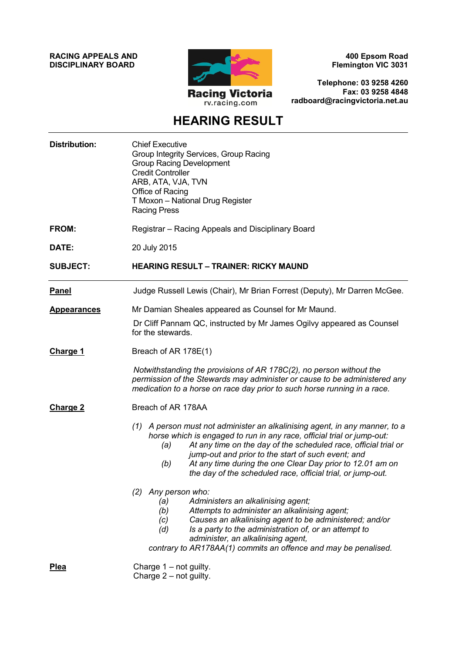**RACING APPEALS AND DISCIPLINARY BOARD**



**400 Epsom Road Flemington VIC 3031**

**Telephone: 03 9258 4260 Fax: 03 9258 4848 radboard@racingvictoria.net.au**

# **HEARING RESULT**

| <b>Distribution:</b> | <b>Chief Executive</b><br>Group Integrity Services, Group Racing<br><b>Group Racing Development</b><br><b>Credit Controller</b><br>ARB, ATA, VJA, TVN<br>Office of Racing<br>T Moxon - National Drug Register<br><b>Racing Press</b>                                                                                                                                                                                     |  |
|----------------------|--------------------------------------------------------------------------------------------------------------------------------------------------------------------------------------------------------------------------------------------------------------------------------------------------------------------------------------------------------------------------------------------------------------------------|--|
| FROM:                | Registrar - Racing Appeals and Disciplinary Board                                                                                                                                                                                                                                                                                                                                                                        |  |
| DATE:                | 20 July 2015                                                                                                                                                                                                                                                                                                                                                                                                             |  |
| <b>SUBJECT:</b>      | <b>HEARING RESULT - TRAINER: RICKY MAUND</b>                                                                                                                                                                                                                                                                                                                                                                             |  |
| <b>Panel</b>         | Judge Russell Lewis (Chair), Mr Brian Forrest (Deputy), Mr Darren McGee.                                                                                                                                                                                                                                                                                                                                                 |  |
| <b>Appearances</b>   | Mr Damian Sheales appeared as Counsel for Mr Maund.                                                                                                                                                                                                                                                                                                                                                                      |  |
|                      | Dr Cliff Pannam QC, instructed by Mr James Ogilvy appeared as Counsel<br>for the stewards.                                                                                                                                                                                                                                                                                                                               |  |
| Charge 1             | Breach of AR 178E(1)                                                                                                                                                                                                                                                                                                                                                                                                     |  |
|                      | Notwithstanding the provisions of AR 178C(2), no person without the<br>permission of the Stewards may administer or cause to be administered any<br>medication to a horse on race day prior to such horse running in a race.                                                                                                                                                                                             |  |
| <b>Charge 2</b>      | Breach of AR 178AA                                                                                                                                                                                                                                                                                                                                                                                                       |  |
|                      | (1) A person must not administer an alkalinising agent, in any manner, to a<br>horse which is engaged to run in any race, official trial or jump-out:<br>At any time on the day of the scheduled race, official trial or<br>(a)<br>jump-out and prior to the start of such event; and<br>At any time during the one Clear Day prior to 12.01 am on<br>(b)<br>the day of the scheduled race, official trial, or jump-out. |  |
|                      | (2) Any person who:<br>(a)<br>Administers an alkalinising agent;<br>Attempts to administer an alkalinising agent;<br>(b)<br>Causes an alkalinising agent to be administered; and/or<br>(c)<br>Is a party to the administration of, or an attempt to<br>(d)<br>administer, an alkalinising agent,<br>contrary to AR178AA(1) commits an offence and may be penalised.                                                      |  |
| <b>Plea</b>          | Charge $1 - not$ guilty.<br>Charge $2$ – not guilty.                                                                                                                                                                                                                                                                                                                                                                     |  |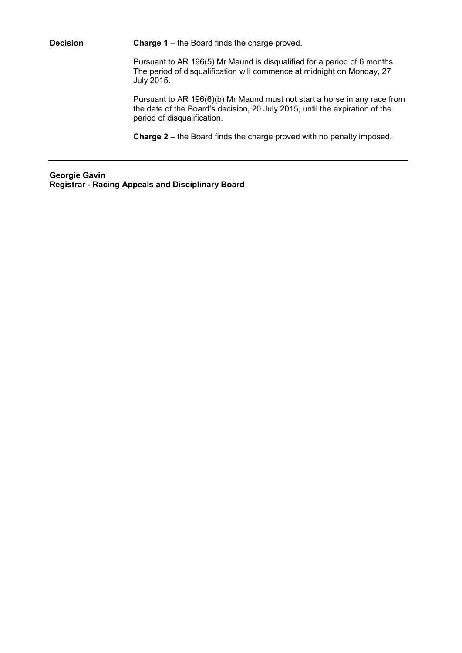**Decision Charge 1** – the Board finds the charge proved.

Pursuant to AR 196(5) Mr Maund is disqualified for a period of 6 months. The period of disqualification will commence at midnight on Monday, 27 July 2015.

Pursuant to AR 196(6)(b) Mr Maund must not start a horse in any race from the date of the Board's decision, 20 July 2015, until the expiration of the period of disqualification.

**Charge 2** – the Board finds the charge proved with no penalty imposed.

**Georgie Gavin Registrar - Racing Appeals and Disciplinary Board**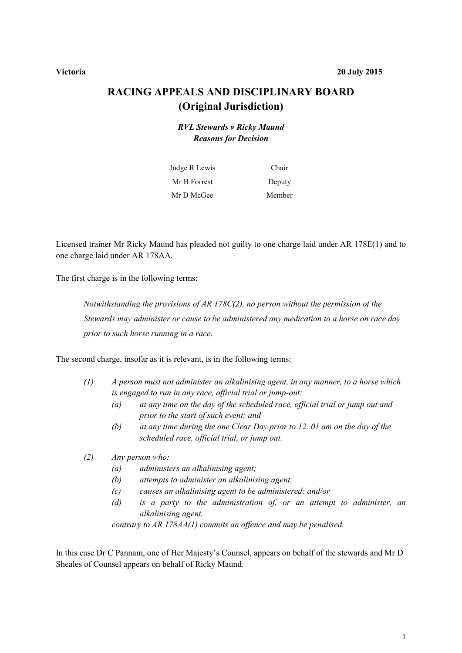#### **Victoria 20 July 2015**

## **RACING APPEALS AND DISCIPLINARY BOARD (Original Jurisdiction)**

### *RVL Stewards v Ricky Maund Reasons for Decision*

| Judge R Lewis | Chair  |
|---------------|--------|
| Mr B Forrest  | Deputy |
| Mr D McGee    | Member |

Licensed trainer Mr Ricky Maund has pleaded not guilty to one charge laid under AR 178E(1) and to one charge laid under AR 178AA.

The first charge is in the following terms:

*Notwithstanding the provisions of AR 178C(2), no person without the permission of the Stewards may administer or cause to be administered any medication to a horse on race day prior to such horse running in a race.*

The second charge, insofar as it is relevant, is in the following terms:

- *(1) A person must not administer an alkalinising agent, in any manner, to a horse which is engaged to run in any race, official trial or jump-out:* 
	- *(a) at any time on the day of the scheduled race, official trial or jump out and prior to the start of such event; and*
	- *(b) at any time during the one Clear Day prior to 12. 01 am on the day of the scheduled race, official trial, or jump out.*
- *(2) Any person who:* 
	- *(a) administers an alkalinising agent;*
	- *(b) attempts to administer an alkalinising agent;*
	- *(c) causes an alkalinising agent to be administered; and/or*
	- *(d) is a party to the administration of, or an attempt to administer, an alkalinising agent,*

*contrary to AR 178AA(1) commits an offence and may be penalised.* 

In this case Dr C Pannam, one of Her Majesty's Counsel, appears on behalf of the stewards and Mr D Sheales of Counsel appears on behalf of Ricky Maund.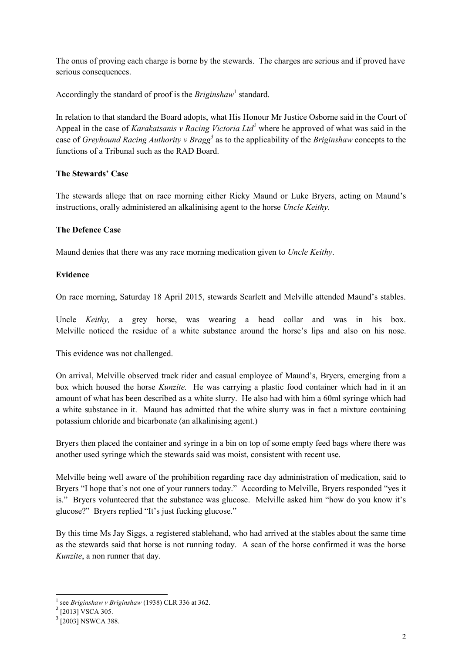The onus of proving each charge is borne by the stewards. The charges are serious and if proved have serious consequences.

Accordingly the standard of proof is the *Briginshaw*<sup>1</sup> standard.

In relation to that standard the Board adopts, what His Honour Mr Justice Osborne said in the Court of Appeal in the case of *Karakatsanis v Racing Victoria Ltd<sup>2</sup>* where he approved of what was said in the case of *Greyhound Racing Authority v Bragg<sup>3</sup>* as to the applicability of the *Briginshaw* concepts to the functions of a Tribunal such as the RAD Board.

#### **The Stewards' Case**

The stewards allege that on race morning either Ricky Maund or Luke Bryers, acting on Maund's instructions, orally administered an alkalinising agent to the horse *Uncle Keithy.*

### **The Defence Case**

Maund denies that there was any race morning medication given to *Uncle Keithy*.

### **Evidence**

On race morning, Saturday 18 April 2015, stewards Scarlett and Melville attended Maund's stables.

Uncle *Keithy,* a grey horse, was wearing a head collar and was in his box. Melville noticed the residue of a white substance around the horse's lips and also on his nose.

This evidence was not challenged.

On arrival, Melville observed track rider and casual employee of Maund's, Bryers, emerging from a box which housed the horse *Kunzite.* He was carrying a plastic food container which had in it an amount of what has been described as a white slurry. He also had with him a 60ml syringe which had a white substance in it. Maund has admitted that the white slurry was in fact a mixture containing potassium chloride and bicarbonate (an alkalinising agent.)

Bryers then placed the container and syringe in a bin on top of some empty feed bags where there was another used syringe which the stewards said was moist, consistent with recent use.

Melville being well aware of the prohibition regarding race day administration of medication, said to Bryers "I hope that's not one of your runners today." According to Melville, Bryers responded "yes it is." Bryers volunteered that the substance was glucose. Melville asked him "how do you know it's glucose?" Bryers replied "It's just fucking glucose."

By this time Ms Jay Siggs, a registered stablehand, who had arrived at the stables about the same time as the stewards said that horse is not running today. A scan of the horse confirmed it was the horse *Kunzite*, a non runner that day.

 1 see *Briginshaw v Briginshaw* (1938) CLR 336 at 362.

<sup>&</sup>lt;sup>2</sup> [2013] VSCA 305.

<sup>&</sup>lt;sup>3</sup> [2003] NSWCA 388.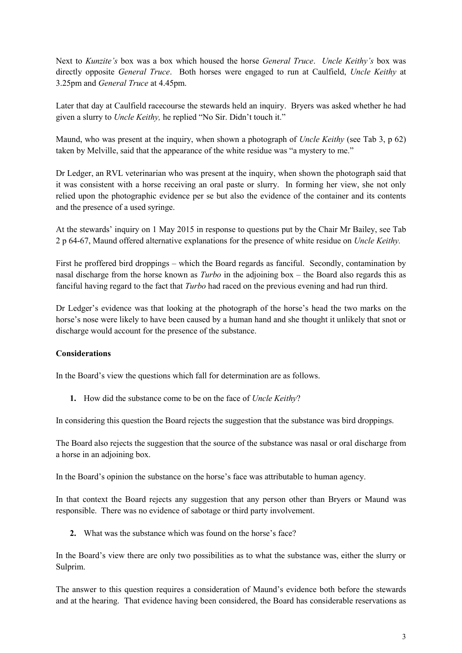Next to *Kunzite's* box was a box which housed the horse *General Truce*. *Uncle Keithy's* box was directly opposite *General Truce*. Both horses were engaged to run at Caulfield, *Uncle Keithy* at 3.25pm and *General Truce* at 4.45pm.

Later that day at Caulfield racecourse the stewards held an inquiry. Bryers was asked whether he had given a slurry to *Uncle Keithy,* he replied "No Sir. Didn't touch it."

Maund, who was present at the inquiry, when shown a photograph of *Uncle Keithy* (see Tab 3, p 62) taken by Melville, said that the appearance of the white residue was "a mystery to me."

Dr Ledger, an RVL veterinarian who was present at the inquiry, when shown the photograph said that it was consistent with a horse receiving an oral paste or slurry. In forming her view, she not only relied upon the photographic evidence per se but also the evidence of the container and its contents and the presence of a used syringe.

At the stewards' inquiry on 1 May 2015 in response to questions put by the Chair Mr Bailey, see Tab 2 p 64-67, Maund offered alternative explanations for the presence of white residue on *Uncle Keithy.*

First he proffered bird droppings – which the Board regards as fanciful. Secondly, contamination by nasal discharge from the horse known as *Turbo* in the adjoining box – the Board also regards this as fanciful having regard to the fact that *Turbo* had raced on the previous evening and had run third.

Dr Ledger's evidence was that looking at the photograph of the horse's head the two marks on the horse's nose were likely to have been caused by a human hand and she thought it unlikely that snot or discharge would account for the presence of the substance.

#### **Considerations**

In the Board's view the questions which fall for determination are as follows.

**1.** How did the substance come to be on the face of *Uncle Keithy*?

In considering this question the Board rejects the suggestion that the substance was bird droppings.

The Board also rejects the suggestion that the source of the substance was nasal or oral discharge from a horse in an adjoining box.

In the Board's opinion the substance on the horse's face was attributable to human agency.

In that context the Board rejects any suggestion that any person other than Bryers or Maund was responsible. There was no evidence of sabotage or third party involvement.

**2.** What was the substance which was found on the horse's face?

In the Board's view there are only two possibilities as to what the substance was, either the slurry or Sulprim.

The answer to this question requires a consideration of Maund's evidence both before the stewards and at the hearing. That evidence having been considered, the Board has considerable reservations as